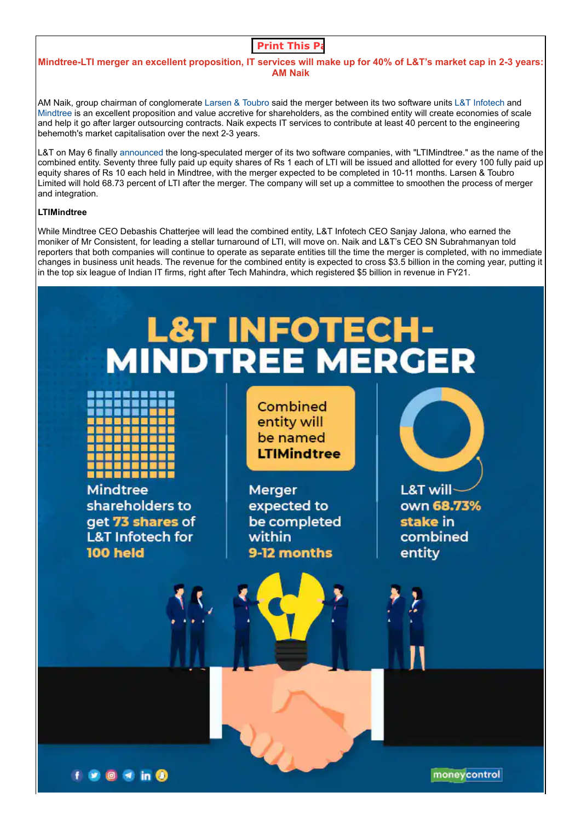# **Print This Pa**

### **Mindtree-LTI merger an excellent proposition, IT services will make up for 40% of L&T's market cap in 2-3 years: AM Naik**

AM Naik, group chairman of conglomerate [Larsen & Toubro](https://www.moneycontrol.com/india/stockpricequote/infrastructure-general/larsentoubro/LT) said the merger between its two software units [L&T Infotech a](https://www.moneycontrol.com/india/stockpricequote/computers-software/larsentoubroinfotech/LI12)nd [Mindtree](https://www.moneycontrol.com/india/stockpricequote/computers-software/mindtree/MT13) is an excellent proposition and value accretive for shareholders, as the combined entity will create economies of scale and help it go after larger outsourcing contracts. Naik expects IT services to contribute at least 40 percent to the engineering behemoth's market capitalisation over the next 2-3 years.

L&T on May 6 finally [announced t](https://www.moneycontrol.com/news/business/mergers-acquisitions/lt-announces-merger-of-lt-infotech-and-mindtree-8463881.html)he long-speculated merger of its two software companies, with "LTIMindtree." as the name of the combined entity. Seventy three fully paid up equity shares of Rs 1 each of LTI will be issued and allotted for every 100 fully paid up equity shares of Rs 10 each held in Mindtree, with the merger expected to be completed in 10-11 months. Larsen & Toubro Limited will hold 68.73 percent of LTI after the merger. The company will set up a committee to smoothen the process of merger and integration.

## **LTIMindtree**

While Mindtree CEO Debashis Chatterjee will lead the combined entity, L&T Infotech CEO Sanjay Jalona, who earned the moniker of Mr Consistent, for leading a stellar turnaround of LTI, will move on. Naik and L&T's CEO SN Subrahmanyan told reporters that both companies will continue to operate as separate entities till the time the merger is completed, with no immediate changes in business unit heads. The revenue for the combined entity is expected to cross \$3.5 billion in the coming year, putting it in the top six league of Indian IT firms, right after Tech Mahindra, which registered \$5 billion in revenue in FY21.

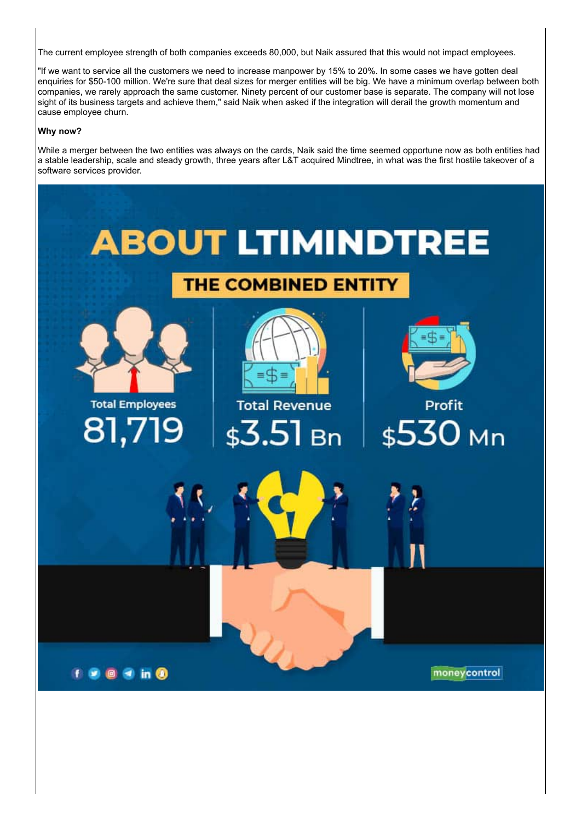The current employee strength of both companies exceeds 80,000, but Naik assured that this would not impact employees.

"If we want to service all the customers we need to increase manpower by 15% to 20%. In some cases we have gotten deal enquiries for \$50-100 million. We're sure that deal sizes for merger entities will be big. We have a minimum overlap between both companies, we rarely approach the same customer. Ninety percent of our customer base is separate. The company will not lose sight of its business targets and achieve them," said Naik when asked if the integration will derail the growth momentum and cause employee churn.

#### **Why now?**

While a merger between the two entities was always on the cards, Naik said the time seemed opportune now as both entities had a stable leadership, scale and steady growth, three years after L&T acquired Mindtree, in what was the first hostile takeover of a software services provider.